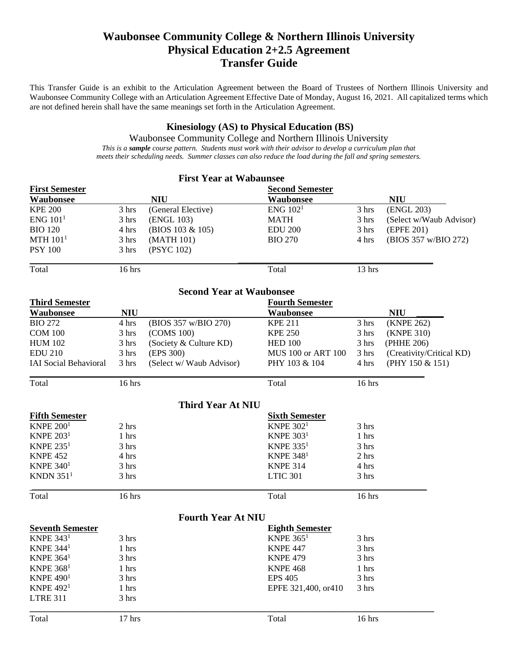# **Waubonsee Community College & Northern Illinois University Physical Education 2+2.5 Agreement Transfer Guide**

This Transfer Guide is an exhibit to the Articulation Agreement between the Board of Trustees of Northern Illinois University and Waubonsee Community College with an Articulation Agreement Effective Date of Monday, August 16, 2021. All capitalized terms which are not defined herein shall have the same meanings set forth in the Articulation Agreement.

## **Kinesiology (AS) to Physical Education (BS)**

Waubonsee Community College and Northern Illinois University *This is a sample course pattern. Students must work with their advisor to develop a curriculum plan that meets their scheduling needs. Summer classes can also reduce the load during the fall and spring semesters.*

|                              |            | <b>First Year at Wabaunsee</b>  |                           |        |                          |
|------------------------------|------------|---------------------------------|---------------------------|--------|--------------------------|
| <b>First Semester</b>        |            |                                 | <b>Second Semester</b>    |        |                          |
| <b>Waubonsee</b>             |            | <b>NIU</b>                      | Waubonsee                 |        | <b>NIU</b>               |
| <b>KPE 200</b>               | 3 hrs      | (General Elective)              | ENG 102 <sup>1</sup>      | 3 hrs  | (ENGL 203)               |
| ENG 101 <sup>1</sup>         | 3 hrs      | (ENGL 103)                      | <b>MATH</b>               | 3 hrs  | (Select w/Waub Advisor)  |
| <b>BIO 120</b>               | 4 hrs      | (BIOS 103 & 105)                | <b>EDU 200</b>            | 3 hrs  | (EPFE 201)               |
| MTH 101 <sup>1</sup>         | 3 hrs      | (MATH 101)                      | <b>BIO 270</b>            | 4 hrs  | (BIOS 357 w/BIO 272)     |
| <b>PSY 100</b>               | 3 hrs      | (PSYC 102)                      |                           |        |                          |
| Total                        | 16 hrs     |                                 | Total                     | 13 hrs |                          |
|                              |            | <b>Second Year at Waubonsee</b> |                           |        |                          |
| <b>Third Semester</b>        |            |                                 | <b>Fourth Semester</b>    |        |                          |
| Waubonsee                    | <b>NIU</b> |                                 | <b>Waubonsee</b>          |        | <b>NIU</b>               |
| <b>BIO 272</b>               | 4 hrs      | (BIOS 357 w/BIO 270)            | <b>KPE 211</b>            | 3 hrs  | (KNPE 262)               |
| <b>COM 100</b>               | 3 hrs      | (COMS 100)                      | <b>KPE 250</b>            | 3 hrs  | (KNPE 310)               |
| <b>HUM 102</b>               | 3 hrs      | (Society & Culture KD)          | <b>HED 100</b>            | 3 hrs  | (PHHE 206)               |
| <b>EDU 210</b>               | 3 hrs      | (EPS 300)                       | <b>MUS 100 or ART 100</b> | 3 hrs  | (Creativity/Critical KD) |
| <b>IAI Social Behavioral</b> | 3 hrs      | (Select w/ Waub Advisor)        | PHY 103 & 104             | 4 hrs  | (PHY 150 & 151)          |
| Total                        | 16 hrs     |                                 | Total                     | 16 hrs |                          |
|                              |            | <b>Third Year At NIU</b>        |                           |        |                          |
| <b>Fifth Semester</b>        |            |                                 | <b>Sixth Semester</b>     |        |                          |
| KNPE $2001$                  | 2 hrs      |                                 | KNPE $3021$               | 3 hrs  |                          |
| KNPE $2031$                  | 1 hrs      |                                 | KNPE $3031$               | 1 hrs  |                          |
| <b>KNPE 2351</b>             | 3 hrs      |                                 | <b>KNPE 3351</b>          | 3 hrs  |                          |
| <b>KNPE 452</b>              | 4 hrs      |                                 | <b>KNPE 3481</b>          | 2 hrs  |                          |
| <b>KNPE 3401</b>             | 3 hrs      |                                 | <b>KNPE 314</b>           | 4 hrs  |                          |
| KNDN $3511$                  | 3 hrs      |                                 | <b>LTIC 301</b>           | 3 hrs  |                          |
| Total                        | 16 hrs     |                                 | Total                     | 16 hrs |                          |
|                              |            | <b>Fourth Year At NIU</b>       |                           |        |                          |
| <b>Seventh Semester</b>      |            |                                 | <b>Eighth Semester</b>    |        |                          |
| <b>KNPE 3431</b>             | 3 hrs      |                                 | KNPE $3651$               | 3 hrs  |                          |
| <b>KNPE 3441</b>             | 1 hrs      |                                 | <b>KNPE 447</b>           | 3 hrs  |                          |
| <b>KNPE 3641</b>             | 3 hrs      |                                 | <b>KNPE 479</b>           | 3 hrs  |                          |
| KNPE $3681$                  | 1 hrs      |                                 | <b>KNPE 468</b>           | 1 hrs  |                          |
| KNPE $4901$                  | 3 hrs      |                                 | <b>EPS 405</b>            | 3 hrs  |                          |
| <b>KNPE 4921</b>             | 1 hrs      |                                 | EPFE 321,400, or410       | 3 hrs  |                          |
| <b>LTRE 311</b>              | 3 hrs      |                                 |                           |        |                          |
| Total                        | $17$ hrs   |                                 | Total                     | 16 hrs |                          |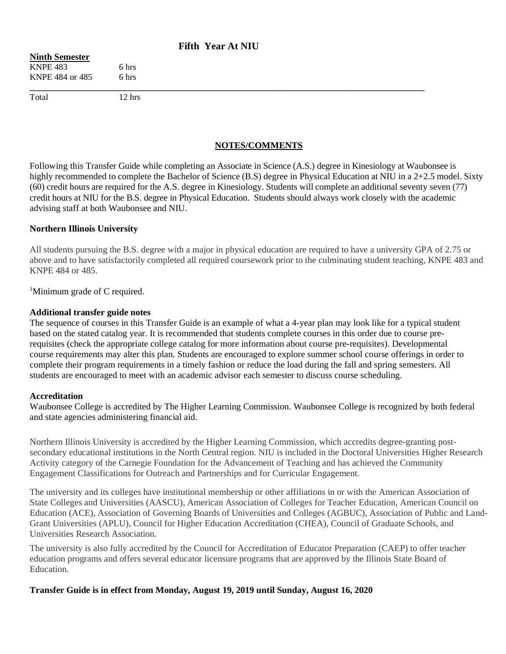## **Fifth Year At NIU**

#### **Ninth Semester** KNPE 483 6 hrs KNPE 484 or 485 6 hrs

Total 12 hrs

**\_\_\_\_\_\_\_\_\_\_\_\_\_\_\_\_\_\_\_\_\_\_\_\_\_\_\_\_\_\_\_\_\_\_\_\_\_\_\_\_\_\_\_\_\_\_\_\_\_\_\_\_\_\_\_\_\_\_\_\_\_\_\_\_\_\_\_\_\_\_\_\_\_\_\_\_\_\_\_\_\_\_\_\_\_\_\_\_\_\_\_**

## **NOTES/COMMENTS**

Following this Transfer Guide while completing an Associate in Science (A.S.) degree in Kinesiology at Waubonsee is highly recommended to complete the Bachelor of Science (B.S) degree in Physical Education at NIU in a 2+2.5 model. Sixty (60) credit hours are required for the A.S. degree in Kinesiology. Students will complete an additional seventy seven (77) credit hours at NIU for the B.S. degree in Physical Education. Students should always work closely with the academic advising staff at both Waubonsee and NIU.

#### **Northern Illinois University**

All students pursuing the B.S. degree with a major in physical education are required to have a university GPA of 2.75 or above and to have satisfactorily completed all required coursework prior to the culminating student teaching, KNPE 483 and KNPE 484 or 485.

<sup>1</sup>Minimum grade of C required.

#### **Additional transfer guide notes**

The sequence of courses in this Transfer Guide is an example of what a 4-year plan may look like for a typical student based on the stated catalog year. It is recommended that students complete courses in this order due to course prerequisites (check the appropriate college catalog for more information about course pre-requisites). Developmental course requirements may alter this plan. Students are encouraged to explore summer school course offerings in order to complete their program requirements in a timely fashion or reduce the load during the fall and spring semesters. All students are encouraged to meet with an academic advisor each semester to discuss course scheduling.

#### **Accreditation**

Waubonsee College is accredited by The Higher Learning Commission. Waubonsee College is recognized by both federal and state agencies administering financial aid.

Northern Illinois University is accredited by the Higher Learning Commission, which accredits degree-granting postsecondary educational institutions in the North Central region. NIU is included in the Doctoral Universities Higher Research Activity category of the Carnegie Foundation for the Advancement of Teaching and has achieved the Community Engagement Classifications for Outreach and Partnerships and for Curricular Engagement.

The university and its colleges have institutional membership or other affiliations in or with the American Association of State Colleges and Universities (AASCU), American Association of Colleges for Teacher Education, American Council on Education (ACE), Association of Governing Boards of Universities and Colleges (AGBUC), Association of Public and Land-Grant Universities (APLU), Council for Higher Education Accreditation (CHEA), Council of Graduate Schools, and Universities Research Association.

The university is also fully accredited by the Council for Accreditation of Educator Preparation (CAEP) to offer teacher education programs and offers several educator licensure programs that are approved by the Illinois State Board of Education.

**Transfer Guide is in effect from Monday, August 19, 2019 until Sunday, August 16, 2020**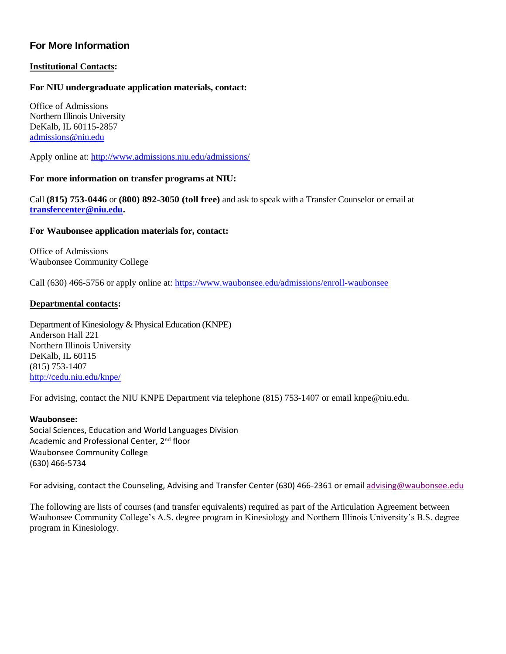## **For More Information**

### **Institutional Contacts:**

### **For NIU undergraduate application materials, contact:**

Office of Admissions Northern Illinois University DeKalb, IL 60115-2857 [admissions@niu.edu](mailto:admissions@niu.edu)

Apply online at: <http://www.admissions.niu.edu/admissions/>

#### **For more information on transfer programs at NIU:**

Call **(815) 753-0446** or **(800) 892-3050 (toll free)** and ask to speak with a Transfer Counselor or email at **[transfercenter@niu.edu.](mailto:transfercenter@niu.edu)**

#### **For Waubonsee application materials for, contact:**

Office of Admissions Waubonsee Community College

Call (630) 466-5756 or apply online at[: https://www.waubonsee.edu/admissions/enroll-waubonsee](https://www.waubonsee.edu/admissions/enroll-waubonsee)

#### **Departmental contacts:**

Department of Kinesiology & Physical Education (KNPE) Anderson Hall 221 Northern Illinois University DeKalb, IL 60115 (815) 753-1407 <http://cedu.niu.edu/knpe/>

For advising, contact the NIU KNPE Department via telephone (815) 753-1407 or email knpe@niu.edu.

#### **Waubonsee:**

Social Sciences, Education and World Languages Division Academic and Professional Center, 2<sup>nd</sup> floor Waubonsee Community College (630) 466-5734

For advising, contact the Counseling, Advising and Transfer Center (630) 466-2361 or email [advising@waubonsee.edu](mailto:advising@waubonsee.edu)

The following are lists of courses (and transfer equivalents) required as part of the Articulation Agreement between Waubonsee Community College's A.S. degree program in Kinesiology and Northern Illinois University's B.S. degree program in Kinesiology.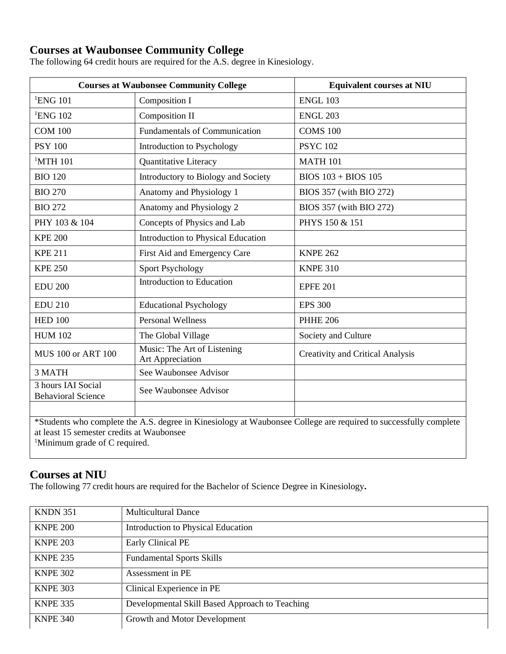# **Courses at Waubonsee Community College**

The following 64 credit hours are required for the A.S. degree in Kinesiology.

|                                                                                                                                                               | <b>Courses at Waubonsee Community College</b>          | <b>Equivalent courses at NIU</b>        |  |
|---------------------------------------------------------------------------------------------------------------------------------------------------------------|--------------------------------------------------------|-----------------------------------------|--|
| <sup>1</sup> ENG 101                                                                                                                                          | Composition I                                          | <b>ENGL 103</b>                         |  |
| <sup>1</sup> ENG 102                                                                                                                                          | Composition II                                         | <b>ENGL 203</b>                         |  |
| <b>COM 100</b>                                                                                                                                                | <b>Fundamentals of Communication</b>                   | <b>COMS 100</b>                         |  |
| <b>PSY 100</b>                                                                                                                                                | Introduction to Psychology                             | <b>PSYC 102</b>                         |  |
| $1$ MTH 101                                                                                                                                                   | Quantitative Literacy                                  | <b>MATH 101</b>                         |  |
| <b>BIO 120</b>                                                                                                                                                | Introductory to Biology and Society                    | $BIOS$ 103 + BIOS 105                   |  |
| <b>BIO 270</b>                                                                                                                                                | Anatomy and Physiology 1                               | BIOS 357 (with BIO 272)                 |  |
| <b>BIO 272</b>                                                                                                                                                | Anatomy and Physiology 2                               | BIOS 357 (with BIO 272)                 |  |
| PHY 103 & 104                                                                                                                                                 | Concepts of Physics and Lab                            | PHYS 150 & 151                          |  |
| <b>KPE 200</b>                                                                                                                                                | Introduction to Physical Education                     |                                         |  |
| <b>KPE 211</b>                                                                                                                                                | First Aid and Emergency Care                           | <b>KNPE 262</b>                         |  |
| <b>KPE 250</b>                                                                                                                                                | <b>Sport Psychology</b>                                | <b>KNPE 310</b>                         |  |
| <b>EDU 200</b>                                                                                                                                                | Introduction to Education                              | <b>EPFE 201</b>                         |  |
| <b>EDU 210</b>                                                                                                                                                | <b>Educational Psychology</b>                          | <b>EPS 300</b>                          |  |
| <b>HED 100</b>                                                                                                                                                | <b>Personal Wellness</b>                               | <b>PHHE 206</b>                         |  |
| <b>HUM 102</b>                                                                                                                                                | The Global Village                                     | Society and Culture                     |  |
| <b>MUS 100 or ART 100</b>                                                                                                                                     | Music: The Art of Listening<br><b>Art Appreciation</b> | <b>Creativity and Critical Analysis</b> |  |
| 3 MATH                                                                                                                                                        | See Waubonsee Advisor                                  |                                         |  |
| 3 hours IAI Social<br><b>Behavioral Science</b>                                                                                                               | See Waubonsee Advisor                                  |                                         |  |
|                                                                                                                                                               |                                                        |                                         |  |
| *Students who complete the A.S. degree in Kinesiology at Waubonsee College are required to successfully complete<br>at least 15 semester credits at Waubonsee |                                                        |                                         |  |

<sup>1</sup>Minimum grade of C required.

## **Courses at NIU**

The following 77 credit hours are required for the Bachelor of Science Degree in Kinesiology**.**

| <b>KNDN 351</b> | <b>Multicultural Dance</b>                     |
|-----------------|------------------------------------------------|
| <b>KNPE 200</b> | Introduction to Physical Education             |
| <b>KNPE 203</b> | <b>Early Clinical PE</b>                       |
| <b>KNPE 235</b> | <b>Fundamental Sports Skills</b>               |
| <b>KNPE 302</b> | Assessment in PE                               |
| <b>KNPE 303</b> | Clinical Experience in PE                      |
| <b>KNPE 335</b> | Developmental Skill Based Approach to Teaching |
| <b>KNPE 340</b> | Growth and Motor Development                   |